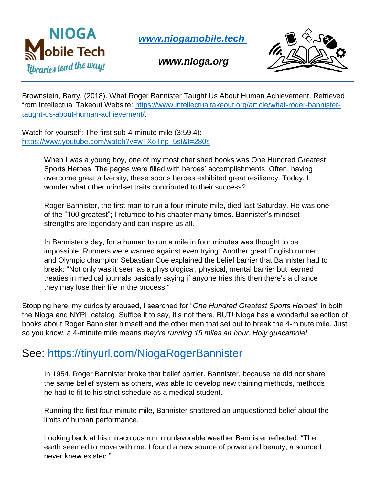

*[www.niogamobile.tech](http://www.niogamobile.tech/)*

*www.nioga.org*



Brownstein, Barry. (2018). What Roger Bannister Taught Us About Human Achievement. Retrieved from Intellectual Takeout Website: [https://www.intellectualtakeout.org/article/what-roger-bannister](https://www.intellectualtakeout.org/article/what-roger-bannister-taught-us-about-human-achievement/)[taught-us-about-human-achievement/.](https://www.intellectualtakeout.org/article/what-roger-bannister-taught-us-about-human-achievement/)

Watch for yourself: The first sub-4-minute mile (3:59.4): [https://www.youtube.com/watch?v=wTXoTnp\\_5sI&t=280s](https://www.youtube.com/watch?v=wTXoTnp_5sI&t=280s)

> When I was a young boy, one of my most cherished books was One Hundred Greatest Sports Heroes. The pages were filled with heroes' accomplishments. Often, having overcome great adversity, these sports heroes exhibited great resiliency. Today, I wonder what other mindset traits contributed to their success?

Roger Bannister, the first man to run a four-minute mile, died last Saturday. He was one of the "100 greatest"; I returned to his chapter many times. Bannister's mindset strengths are legendary and can inspire us all.

In Bannister's day, for a human to run a mile in four minutes was thought to be impossible. Runners were warned against even trying. Another great English runner and Olympic champion Sebastian Coe explained the belief barrier that Bannister had to break: "Not only was it seen as a physiological, physical, mental barrier but learned treaties in medical journals basically saying if anyone tries this then there's a chance they may lose their life in the process."

Stopping here, my curiosity aroused, I searched for "*One Hundred Greatest Sports Heroes*" in both the Nioga and NYPL catalog. Suffice it to say, it's not there, BUT! Nioga has a wonderful selection of books about Roger Bannister himself and the other men that set out to break the 4-minute mile. Just so you know, a 4-minute mile means *they're running 15 miles an hour. Holy guacamole!* 

## See:<https://tinyurl.com/NiogaRogerBannister>

In 1954, Roger Bannister broke that belief barrier. Bannister, because he did not share the same belief system as others, was able to develop new training methods, methods he had to fit to his strict schedule as a medical student.

Running the first four-minute mile, Bannister shattered an unquestioned belief about the limits of human performance.

Looking back at his miraculous run in unfavorable weather Bannister reflected, "The earth seemed to move with me. I found a new source of power and beauty, a source I never knew existed."